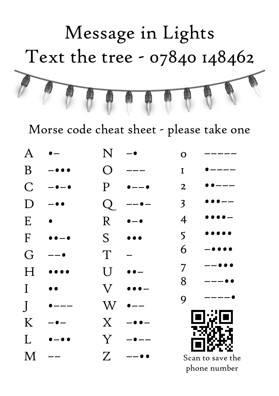

Morse code cheat sheet - please take one

| A |                          | N            |                | O                       |                  |
|---|--------------------------|--------------|----------------|-------------------------|------------------|
| B |                          | ( )          |                | I                       |                  |
| C | $\overline{\phantom{0}}$ | P            | -— ●           | $\boldsymbol{2}$        |                  |
|   |                          |              |                | $\overline{\mathbf{3}}$ |                  |
| E |                          | R            |                | $\overline{4}$          |                  |
| F |                          | S            |                | 5                       |                  |
| G |                          | T            |                | 6                       |                  |
|   |                          | U            |                | 7                       |                  |
| I |                          | $\rm V$      |                | 8                       |                  |
|   |                          | W            |                | 9                       |                  |
| K |                          | $\mathbf{X}$ |                |                         |                  |
| L | - 0 1                    | Y            | $\bullet$ $--$ |                         |                  |
| М |                          | $Z_{\cdot}$  | , ,            |                         | Scan to save the |
|   |                          |              |                |                         | phone number     |